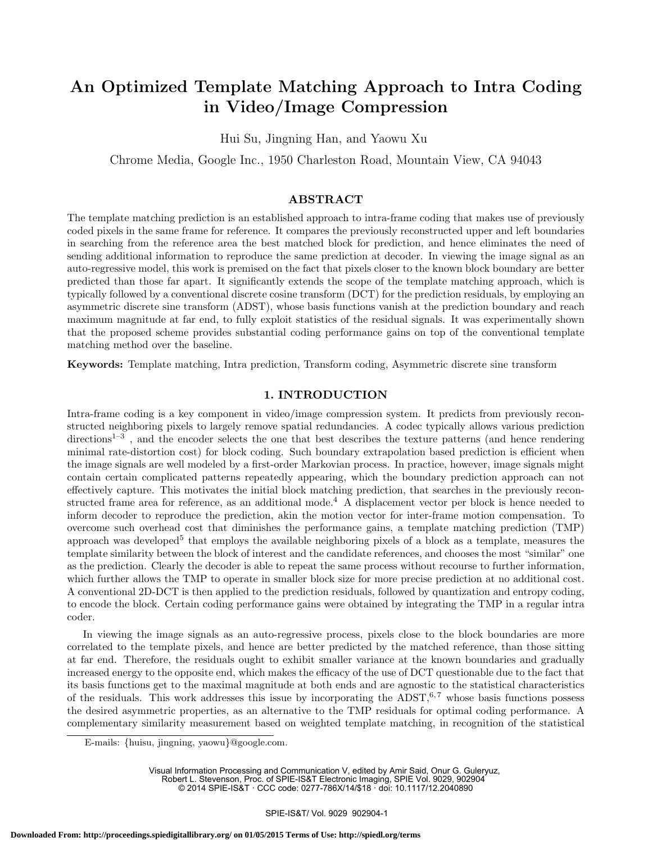# An Optimized Template Matching Approach to Intra Coding in Video/Image Compression

Hui Su, Jingning Han, and Yaowu Xu

Chrome Media, Google Inc., 1950 Charleston Road, Mountain View, CA 94043

# ABSTRACT

The template matching prediction is an established approach to intra-frame coding that makes use of previously coded pixels in the same frame for reference. It compares the previously reconstructed upper and left boundaries in searching from the reference area the best matched block for prediction, and hence eliminates the need of sending additional information to reproduce the same prediction at decoder. In viewing the image signal as an auto-regressive model, this work is premised on the fact that pixels closer to the known block boundary are better predicted than those far apart. It significantly extends the scope of the template matching approach, which is typically followed by a conventional discrete cosine transform (DCT) for the prediction residuals, by employing an asymmetric discrete sine transform (ADST), whose basis functions vanish at the prediction boundary and reach maximum magnitude at far end, to fully exploit statistics of the residual signals. It was experimentally shown that the proposed scheme provides substantial coding performance gains on top of the conventional template matching method over the baseline.

Keywords: Template matching, Intra prediction, Transform coding, Asymmetric discrete sine transform

### 1. INTRODUCTION

Intra-frame coding is a key component in video/image compression system. It predicts from previously reconstructed neighboring pixels to largely remove spatial redundancies. A codec typically allows various prediction directions<sup>1–3</sup>, and the encoder selects the one that best describes the texture patterns (and hence rendering minimal rate-distortion cost) for block coding. Such boundary extrapolation based prediction is efficient when the image signals are well modeled by a first-order Markovian process. In practice, however, image signals might contain certain complicated patterns repeatedly appearing, which the boundary prediction approach can not effectively capture. This motivates the initial block matching prediction, that searches in the previously reconstructed frame area for reference, as an additional mode.<sup>4</sup> A displacement vector per block is hence needed to inform decoder to reproduce the prediction, akin the motion vector for inter-frame motion compensation. To overcome such overhead cost that diminishes the performance gains, a template matching prediction (TMP) approach was developed<sup>5</sup> that employs the available neighboring pixels of a block as a template, measures the template similarity between the block of interest and the candidate references, and chooses the most "similar" one as the prediction. Clearly the decoder is able to repeat the same process without recourse to further information, which further allows the TMP to operate in smaller block size for more precise prediction at no additional cost. A conventional 2D-DCT is then applied to the prediction residuals, followed by quantization and entropy coding, to encode the block. Certain coding performance gains were obtained by integrating the TMP in a regular intra coder.

In viewing the image signals as an auto-regressive process, pixels close to the block boundaries are more correlated to the template pixels, and hence are better predicted by the matched reference, than those sitting at far end. Therefore, the residuals ought to exhibit smaller variance at the known boundaries and gradually increased energy to the opposite end, which makes the efficacy of the use of DCT questionable due to the fact that its basis functions get to the maximal magnitude at both ends and are agnostic to the statistical characteristics of the residuals. This work addresses this issue by incorporating the  $\text{ADST},^{6,7}$  whose basis functions possess the desired asymmetric properties, as an alternative to the TMP residuals for optimal coding performance. A complementary similarity measurement based on weighted template matching, in recognition of the statistical

E-mails: {huisu, jingning, yaowu}@google.com.

Visual Information Processing and Communication V, edited by Amir Said, Onur G. Guleryuz, Robert L. Stevenson, Proc. of SPIE-IS&T Electronic Imaging, SPIE Vol. 9029, 902904

© 2014 SPIE-IS&T · CCC code: 0277-786X/14/\$18 · doi: 10.1117/12.2040890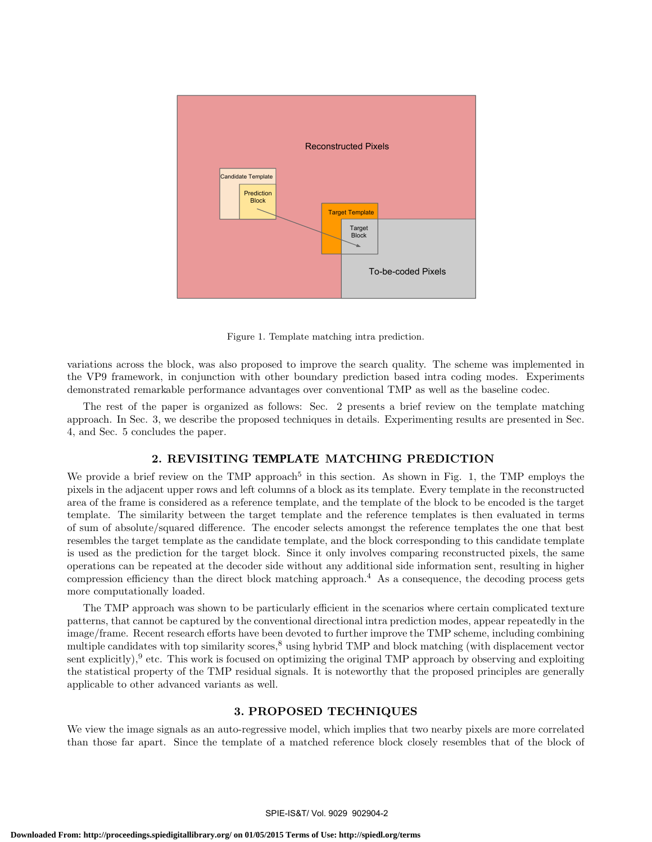

Figure 1. Template matching intra prediction.

variations across the block, was also proposed to improve the search quality. The scheme was implemented in the VP9 framework, in conjunction with other boundary prediction based intra coding modes. Experiments demonstrated remarkable performance advantages over conventional TMP as well as the baseline codec.

The rest of the paper is organized as follows: Sec. 2 presents a brief review on the template matching approach. In Sec. 3, we describe the proposed techniques in details. Experimenting results are presented in Sec. 4, and Sec. 5 concludes the paper.

#### 2. REVISITING TEMPLATE MATCHING PREDICTION

We provide a brief review on the TMP approach<sup>5</sup> in this section. As shown in Fig. 1, the TMP employs the pixels in the adjacent upper rows and left columns of a block as its template. Every template in the reconstructed area of the frame is considered as a reference template, and the template of the block to be encoded is the target template. The similarity between the target template and the reference templates is then evaluated in terms of sum of absolute/squared difference. The encoder selects amongst the reference templates the one that best resembles the target template as the candidate template, and the block corresponding to this candidate template is used as the prediction for the target block. Since it only involves comparing reconstructed pixels, the same operations can be repeated at the decoder side without any additional side information sent, resulting in higher compression efficiency than the direct block matching approach.<sup>4</sup> As a consequence, the decoding process gets more computationally loaded.

The TMP approach was shown to be particularly efficient in the scenarios where certain complicated texture patterns, that cannot be captured by the conventional directional intra prediction modes, appear repeatedly in the image/frame. Recent research efforts have been devoted to further improve the TMP scheme, including combining multiple candidates with top similarity scores,<sup>8</sup> using hybrid TMP and block matching (with displacement vector sent explicitly),  $9$  etc. This work is focused on optimizing the original TMP approach by observing and exploiting the statistical property of the TMP residual signals. It is noteworthy that the proposed principles are generally applicable to other advanced variants as well.

#### 3. PROPOSED TECHNIQUES

We view the image signals as an auto-regressive model, which implies that two nearby pixels are more correlated than those far apart. Since the template of a matched reference block closely resembles that of the block of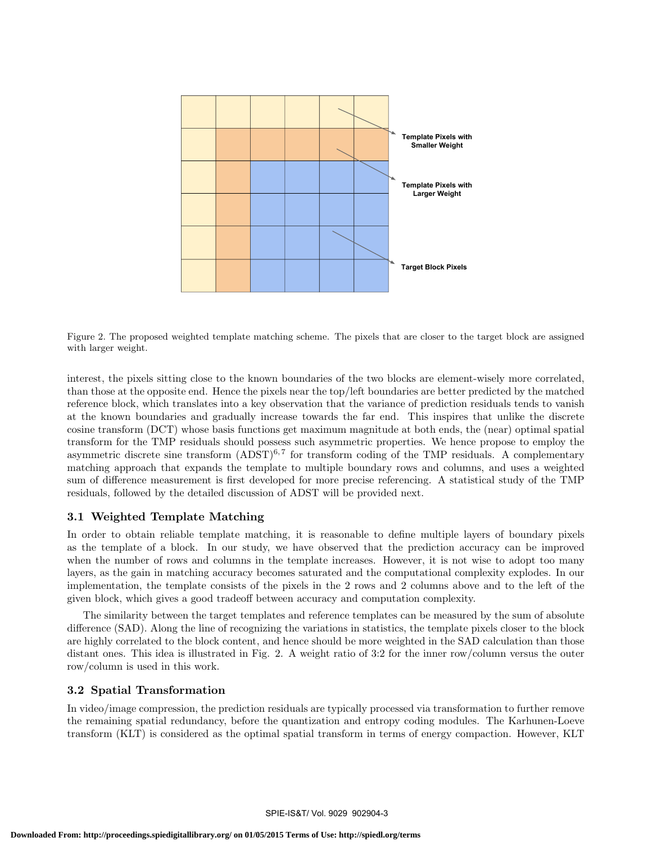

Figure 2. The proposed weighted template matching scheme. The pixels that are closer to the target block are assigned with larger weight.

interest, the pixels sitting close to the known boundaries of the two blocks are element-wisely more correlated, than those at the opposite end. Hence the pixels near the top/left boundaries are better predicted by the matched reference block, which translates into a key observation that the variance of prediction residuals tends to vanish at the known boundaries and gradually increase towards the far end. This inspires that unlike the discrete cosine transform (DCT) whose basis functions get maximum magnitude at both ends, the (near) optimal spatial transform for the TMP residuals should possess such asymmetric properties. We hence propose to employ the asymmetric discrete sine transform  $(ADST)^{6,7}$  for transform coding of the TMP residuals. A complementary matching approach that expands the template to multiple boundary rows and columns, and uses a weighted sum of difference measurement is first developed for more precise referencing. A statistical study of the TMP residuals, followed by the detailed discussion of ADST will be provided next.

# 3.1 Weighted Template Matching

In order to obtain reliable template matching, it is reasonable to define multiple layers of boundary pixels as the template of a block. In our study, we have observed that the prediction accuracy can be improved when the number of rows and columns in the template increases. However, it is not wise to adopt too many layers, as the gain in matching accuracy becomes saturated and the computational complexity explodes. In our implementation, the template consists of the pixels in the 2 rows and 2 columns above and to the left of the given block, which gives a good tradeoff between accuracy and computation complexity.

The similarity between the target templates and reference templates can be measured by the sum of absolute difference (SAD). Along the line of recognizing the variations in statistics, the template pixels closer to the block are highly correlated to the block content, and hence should be more weighted in the SAD calculation than those distant ones. This idea is illustrated in Fig. 2. A weight ratio of 3:2 for the inner row/column versus the outer row/column is used in this work.

# 3.2 Spatial Transformation

In video/image compression, the prediction residuals are typically processed via transformation to further remove the remaining spatial redundancy, before the quantization and entropy coding modules. The Karhunen-Loeve transform (KLT) is considered as the optimal spatial transform in terms of energy compaction. However, KLT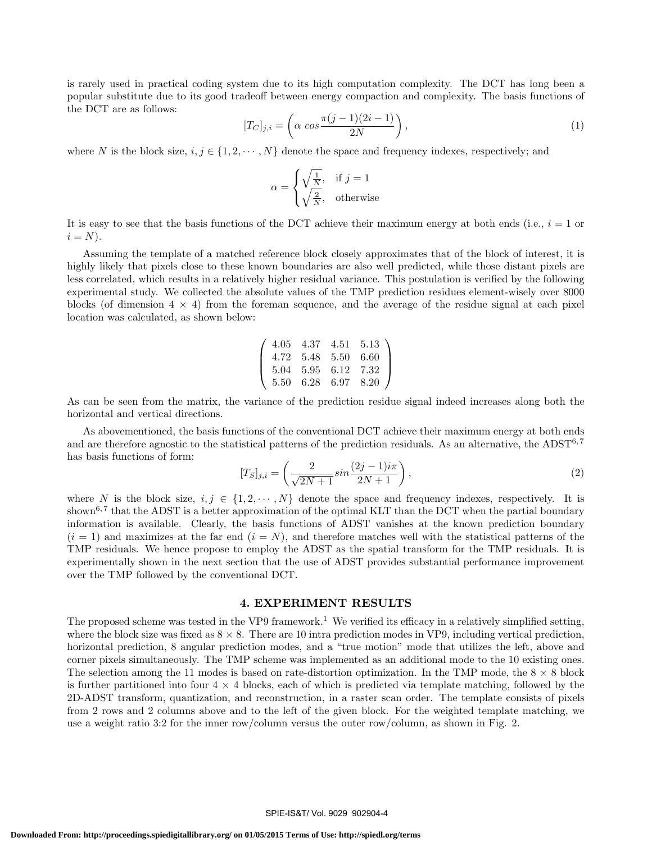is rarely used in practical coding system due to its high computation complexity. The DCT has long been a popular substitute due to its good tradeoff between energy compaction and complexity. The basis functions of the DCT are as follows:

$$
[T_C]_{j,i} = \left(\alpha \cos \frac{\pi (j-1)(2i-1)}{2N}\right),\tag{1}
$$

where N is the block size,  $i, j \in \{1, 2, \dots, N\}$  denote the space and frequency indexes, respectively; and

$$
\alpha = \begin{cases} \sqrt{\frac{1}{N}}, & \text{if } j = 1\\ \sqrt{\frac{2}{N}}, & \text{otherwise} \end{cases}
$$

It is easy to see that the basis functions of the DCT achieve their maximum energy at both ends (i.e.,  $i = 1$  or  $i = N$ ).

Assuming the template of a matched reference block closely approximates that of the block of interest, it is highly likely that pixels close to these known boundaries are also well predicted, while those distant pixels are less correlated, which results in a relatively higher residual variance. This postulation is verified by the following experimental study. We collected the absolute values of the TMP prediction residues element-wisely over 8000 blocks (of dimension  $4 \times 4$ ) from the foreman sequence, and the average of the residue signal at each pixel location was calculated, as shown below:

|      | 4.05 4.37 4.51 5.13 |           |      |
|------|---------------------|-----------|------|
|      | 4.72 5.48 5.50 6.60 |           |      |
|      | 5.04 5.95 6.12 7.32 |           |      |
| 5.50 |                     | 6.28 6.97 | 8.20 |

As can be seen from the matrix, the variance of the prediction residue signal indeed increases along both the horizontal and vertical directions.

As abovementioned, the basis functions of the conventional DCT achieve their maximum energy at both ends and are therefore agnostic to the statistical patterns of the prediction residuals. As an alternative, the  $\text{ADST}^{6,7}$ has basis functions of form:

$$
[T_S]_{j,i} = \left(\frac{2}{\sqrt{2N+1}}\sin\frac{(2j-1)i\pi}{2N+1}\right),\tag{2}
$$

where N is the block size,  $i, j \in \{1, 2, \dots, N\}$  denote the space and frequency indexes, respectively. It is shown<sup>6,7</sup> that the ADST is a better approximation of the optimal KLT than the DCT when the partial boundary information is available. Clearly, the basis functions of ADST vanishes at the known prediction boundary  $(i = 1)$  and maximizes at the far end  $(i = N)$ , and therefore matches well with the statistical patterns of the TMP residuals. We hence propose to employ the ADST as the spatial transform for the TMP residuals. It is experimentally shown in the next section that the use of ADST provides substantial performance improvement over the TMP followed by the conventional DCT.

# 4. EXPERIMENT RESULTS

The proposed scheme was tested in the VP9 framework.<sup>1</sup> We verified its efficacy in a relatively simplified setting, where the block size was fixed as  $8 \times 8$ . There are 10 intra prediction modes in VP9, including vertical prediction, horizontal prediction, 8 angular prediction modes, and a "true motion" mode that utilizes the left, above and corner pixels simultaneously. The TMP scheme was implemented as an additional mode to the 10 existing ones. The selection among the 11 modes is based on rate-distortion optimization. In the TMP mode, the  $8 \times 8$  block is further partitioned into four  $4 \times 4$  blocks, each of which is predicted via template matching, followed by the 2D-ADST transform, quantization, and reconstruction, in a raster scan order. The template consists of pixels from 2 rows and 2 columns above and to the left of the given block. For the weighted template matching, we use a weight ratio 3:2 for the inner row/column versus the outer row/column, as shown in Fig. 2.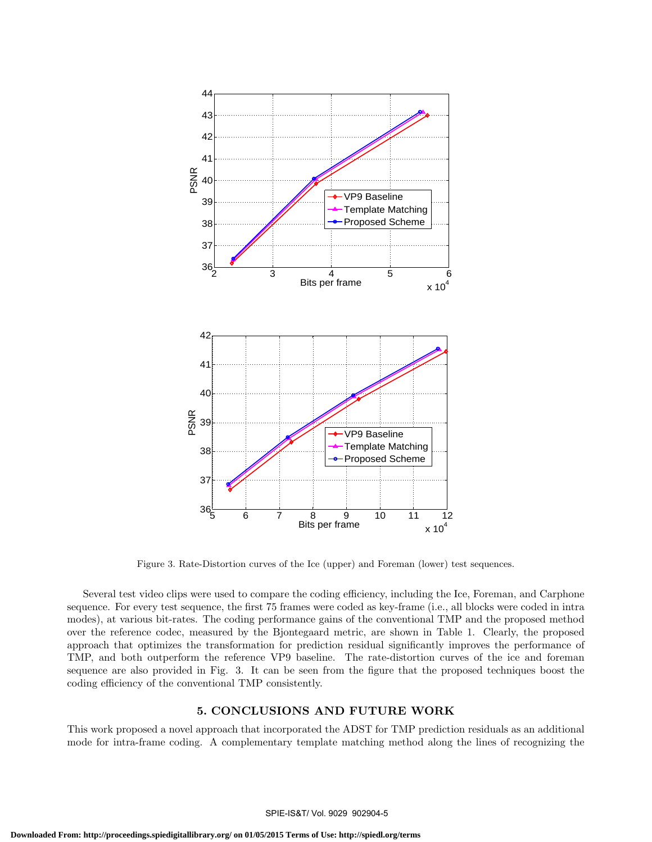

Figure 3. Rate-Distortion curves of the Ice (upper) and Foreman (lower) test sequences.

Several test video clips were used to compare the coding efficiency, including the Ice, Foreman, and Carphone sequence. For every test sequence, the first 75 frames were coded as key-frame (i.e., all blocks were coded in intra modes), at various bit-rates. The coding performance gains of the conventional TMP and the proposed method over the reference codec, measured by the Bjontegaard metric, are shown in Table 1. Clearly, the proposed approach that optimizes the transformation for prediction residual significantly improves the performance of TMP, and both outperform the reference VP9 baseline. The rate-distortion curves of the ice and foreman sequence are also provided in Fig. 3. It can be seen from the figure that the proposed techniques boost the coding efficiency of the conventional TMP consistently.

#### 5. CONCLUSIONS AND FUTURE WORK

This work proposed a novel approach that incorporated the ADST for TMP prediction residuals as an additional mode for intra-frame coding. A complementary template matching method along the lines of recognizing the